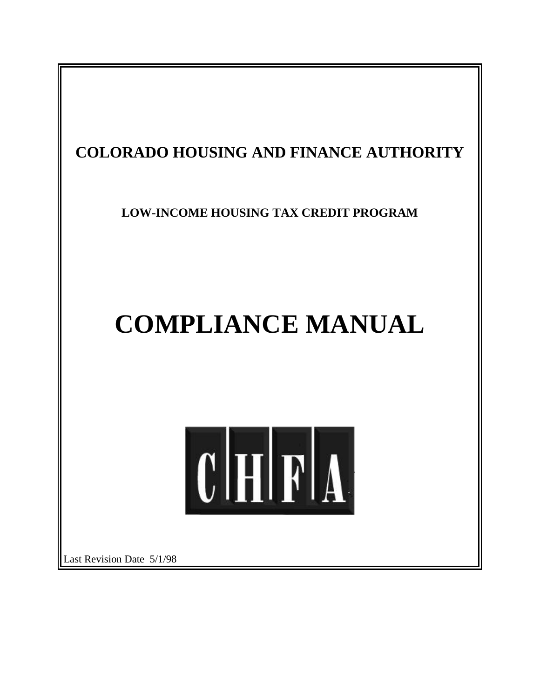

Last Revision Date 5/1/98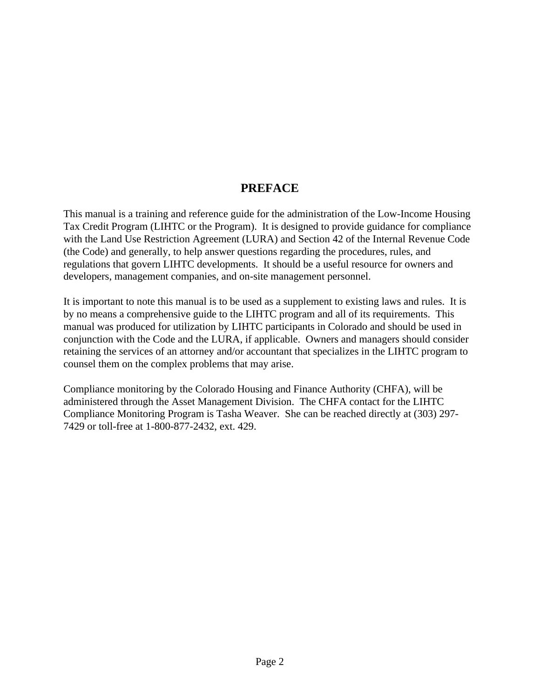# **PREFACE**

This manual is a training and reference guide for the administration of the Low-Income Housing Tax Credit Program (LIHTC or the Program). It is designed to provide guidance for compliance with the Land Use Restriction Agreement (LURA) and Section 42 of the Internal Revenue Code (the Code) and generally, to help answer questions regarding the procedures, rules, and regulations that govern LIHTC developments. It should be a useful resource for owners and developers, management companies, and on-site management personnel.

It is important to note this manual is to be used as a supplement to existing laws and rules. It is by no means a comprehensive guide to the LIHTC program and all of its requirements. This manual was produced for utilization by LIHTC participants in Colorado and should be used in conjunction with the Code and the LURA, if applicable. Owners and managers should consider retaining the services of an attorney and/or accountant that specializes in the LIHTC program to counsel them on the complex problems that may arise.

Compliance monitoring by the Colorado Housing and Finance Authority (CHFA), will be administered through the Asset Management Division. The CHFA contact for the LIHTC Compliance Monitoring Program is Tasha Weaver. She can be reached directly at (303) 297- 7429 or toll-free at 1-800-877-2432, ext. 429.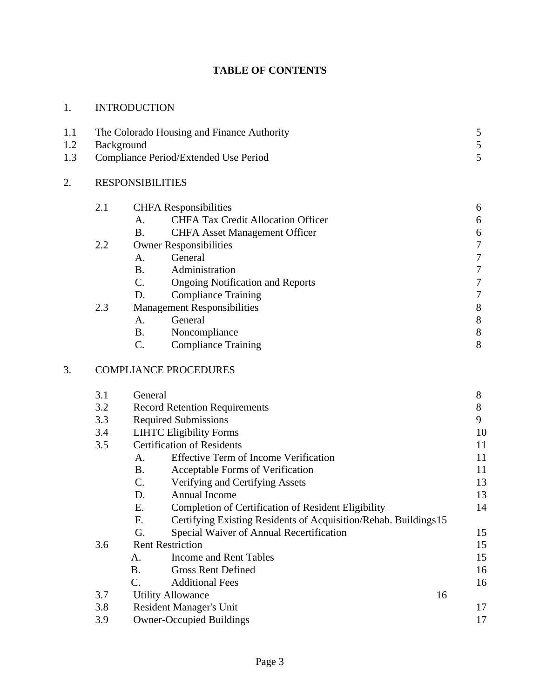# **TABLE OF CONTENTS**

| <b>INTRODUCTION</b> |
|---------------------|
|                     |

| 1.1<br>1.2<br>1.3 | The Colorado Housing and Finance Authority<br>Background<br>Compliance Period/Extended Use Period |                                   |                                                                  | 5<br>5<br>5 |                  |
|-------------------|---------------------------------------------------------------------------------------------------|-----------------------------------|------------------------------------------------------------------|-------------|------------------|
| 2.                | <b>RESPONSIBILITIES</b>                                                                           |                                   |                                                                  |             |                  |
|                   | 2.1                                                                                               |                                   | <b>CHFA</b> Responsibilities                                     |             | 6                |
|                   |                                                                                                   | A.                                | <b>CHFA Tax Credit Allocation Officer</b>                        |             | 6                |
|                   |                                                                                                   | <b>B.</b>                         | <b>CHFA Asset Management Officer</b>                             |             | 6                |
|                   | 2.2                                                                                               |                                   | <b>Owner Responsibilities</b>                                    |             | $\boldsymbol{7}$ |
|                   |                                                                                                   | A.                                | General                                                          |             | $\boldsymbol{7}$ |
|                   |                                                                                                   | B <sub>r</sub>                    | Administration                                                   |             | $\boldsymbol{7}$ |
|                   |                                                                                                   | C.                                | <b>Ongoing Notification and Reports</b>                          |             | $\tau$           |
|                   |                                                                                                   | D.                                | <b>Compliance Training</b>                                       |             | $\boldsymbol{7}$ |
|                   | 2.3                                                                                               |                                   | <b>Management Responsibilities</b>                               |             | $8\,$            |
|                   |                                                                                                   | A.                                | General                                                          |             | $8\,$            |
|                   |                                                                                                   | <b>B.</b>                         | Noncompliance                                                    |             | $8\,$            |
|                   |                                                                                                   | $C$ .                             | <b>Compliance Training</b>                                       |             | 8                |
| 3.                |                                                                                                   | <b>COMPLIANCE PROCEDURES</b>      |                                                                  |             |                  |
|                   | 3.1                                                                                               | General                           |                                                                  |             | 8                |
|                   | 3.2                                                                                               |                                   | <b>Record Retention Requirements</b>                             |             | $8\,$            |
|                   | 3.3                                                                                               |                                   | <b>Required Submissions</b>                                      |             | 9                |
|                   | 3.4                                                                                               |                                   | <b>LIHTC Eligibility Forms</b>                                   |             | 10               |
|                   | 3.5                                                                                               | <b>Certification of Residents</b> |                                                                  |             | 11               |
|                   |                                                                                                   | A.                                | <b>Effective Term of Income Verification</b>                     |             | 11               |
|                   |                                                                                                   | <b>B.</b>                         | Acceptable Forms of Verification                                 |             | 11               |
|                   |                                                                                                   | C.                                | Verifying and Certifying Assets                                  |             | 13               |
|                   |                                                                                                   | D.                                | <b>Annual Income</b>                                             |             | 13               |
|                   |                                                                                                   | E.                                | Completion of Certification of Resident Eligibility              |             | 14               |
|                   |                                                                                                   | F.                                | Certifying Existing Residents of Acquisition/Rehab. Buildings 15 |             |                  |
|                   |                                                                                                   | G.                                | Special Waiver of Annual Recertification                         |             | 15               |
|                   | 3.6                                                                                               | <b>Rent Restriction</b>           |                                                                  |             | 15               |
|                   |                                                                                                   | A.                                | <b>Income and Rent Tables</b>                                    |             | 15               |
|                   |                                                                                                   | <b>B.</b>                         | <b>Gross Rent Defined</b>                                        |             | 16               |
|                   |                                                                                                   | C.                                | <b>Additional Fees</b>                                           |             | 16               |
|                   | 3.7                                                                                               |                                   | <b>Utility Allowance</b>                                         | 16          |                  |

3.8 Resident Manager's Unit 17 3.9 Owner-Occupied Buildings 17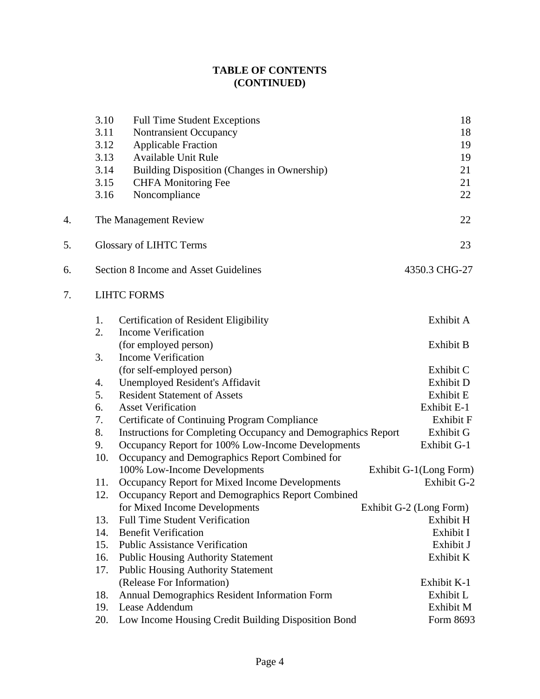# **TABLE OF CONTENTS (CONTINUED)**

|    | 3.10<br>3.11 | <b>Full Time Student Exceptions</b><br>Nontransient Occupancy | 18<br>18                |  |  |  |  |
|----|--------------|---------------------------------------------------------------|-------------------------|--|--|--|--|
|    | 3.12         | <b>Applicable Fraction</b>                                    | 19                      |  |  |  |  |
|    | 3.13         | <b>Available Unit Rule</b>                                    | 19                      |  |  |  |  |
|    | 3.14         | Building Disposition (Changes in Ownership)                   | 21                      |  |  |  |  |
|    | 3.15         | <b>CHFA</b> Monitoring Fee                                    | 21                      |  |  |  |  |
|    | 3.16         | Noncompliance                                                 | 22                      |  |  |  |  |
| 4. |              | 22<br>The Management Review                                   |                         |  |  |  |  |
| 5. |              | 23<br>Glossary of LIHTC Terms                                 |                         |  |  |  |  |
| 6. |              | Section 8 Income and Asset Guidelines<br>4350.3 CHG-27        |                         |  |  |  |  |
| 7. |              | <b>LIHTC FORMS</b>                                            |                         |  |  |  |  |
|    | 1.           | <b>Certification of Resident Eligibility</b>                  | Exhibit A               |  |  |  |  |
|    | 2.           | <b>Income Verification</b>                                    |                         |  |  |  |  |
|    |              | (for employed person)                                         | Exhibit B               |  |  |  |  |
|    | 3.           | <b>Income Verification</b>                                    |                         |  |  |  |  |
|    |              | (for self-employed person)                                    | Exhibit C               |  |  |  |  |
|    | 4.           | Unemployed Resident's Affidavit                               | Exhibit D               |  |  |  |  |
|    | 5.           | <b>Resident Statement of Assets</b>                           | Exhibit E               |  |  |  |  |
|    | 6.           | <b>Asset Verification</b>                                     | Exhibit E-1             |  |  |  |  |
|    | 7.           | Certificate of Continuing Program Compliance                  | <b>Exhibit F</b>        |  |  |  |  |
|    | 8.           | Instructions for Completing Occupancy and Demographics Report | Exhibit G               |  |  |  |  |
|    | 9.           | Occupancy Report for 100% Low-Income Developments             | Exhibit G-1             |  |  |  |  |
|    | 10.          | Occupancy and Demographics Report Combined for                |                         |  |  |  |  |
|    |              | 100% Low-Income Developments                                  | Exhibit G-1(Long Form)  |  |  |  |  |
|    | 11.          | Occupancy Report for Mixed Income Developments                | <b>Exhibit G-2</b>      |  |  |  |  |
|    | 12.          | Occupancy Report and Demographics Report Combined             |                         |  |  |  |  |
|    |              | for Mixed Income Developments                                 | Exhibit G-2 (Long Form) |  |  |  |  |
|    | 13.          | <b>Full Time Student Verification</b>                         | Exhibit H               |  |  |  |  |
|    | 14.          | <b>Benefit Verification</b>                                   | Exhibit I               |  |  |  |  |
|    | 15.          | <b>Public Assistance Verification</b>                         | Exhibit J               |  |  |  |  |
|    | 16.          | <b>Public Housing Authority Statement</b>                     | Exhibit K               |  |  |  |  |
|    | 17.          | <b>Public Housing Authority Statement</b>                     |                         |  |  |  |  |
|    |              | (Release For Information)                                     | Exhibit K-1             |  |  |  |  |
|    | 18.          | Annual Demographics Resident Information Form                 | Exhibit L               |  |  |  |  |
|    | 19.          | Lease Addendum                                                | Exhibit M               |  |  |  |  |
|    | 20.          | Low Income Housing Credit Building Disposition Bond           | Form 8693               |  |  |  |  |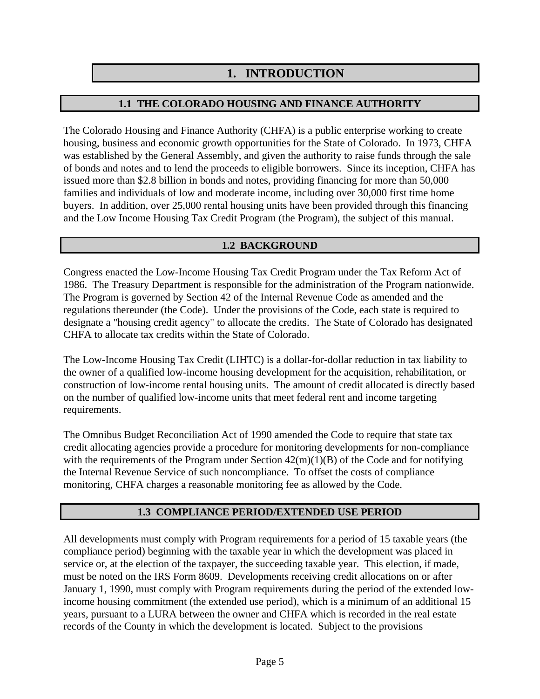# **1. INTRODUCTION**

# **1.1 THE COLORADO HOUSING AND FINANCE AUTHORITY**

The Colorado Housing and Finance Authority (CHFA) is a public enterprise working to create housing, business and economic growth opportunities for the State of Colorado. In 1973, CHFA was established by the General Assembly, and given the authority to raise funds through the sale of bonds and notes and to lend the proceeds to eligible borrowers. Since its inception, CHFA has issued more than \$2.8 billion in bonds and notes, providing financing for more than 50,000 families and individuals of low and moderate income, including over 30,000 first time home buyers. In addition, over 25,000 rental housing units have been provided through this financing and the Low Income Housing Tax Credit Program (the Program), the subject of this manual.

# **1.2 BACKGROUND**

Congress enacted the Low-Income Housing Tax Credit Program under the Tax Reform Act of 1986. The Treasury Department is responsible for the administration of the Program nationwide. The Program is governed by Section 42 of the Internal Revenue Code as amended and the regulations thereunder (the Code). Under the provisions of the Code, each state is required to designate a "housing credit agency" to allocate the credits. The State of Colorado has designated CHFA to allocate tax credits within the State of Colorado.

The Low-Income Housing Tax Credit (LIHTC) is a dollar-for-dollar reduction in tax liability to the owner of a qualified low-income housing development for the acquisition, rehabilitation, or construction of low-income rental housing units. The amount of credit allocated is directly based on the number of qualified low-income units that meet federal rent and income targeting requirements.

The Omnibus Budget Reconciliation Act of 1990 amended the Code to require that state tax credit allocating agencies provide a procedure for monitoring developments for non-compliance with the requirements of the Program under Section  $42(m)(1)(B)$  of the Code and for notifying the Internal Revenue Service of such noncompliance. To offset the costs of compliance monitoring, CHFA charges a reasonable monitoring fee as allowed by the Code.

# **1.3 COMPLIANCE PERIOD/EXTENDED USE PERIOD**

All developments must comply with Program requirements for a period of 15 taxable years (the compliance period) beginning with the taxable year in which the development was placed in service or, at the election of the taxpayer, the succeeding taxable year. This election, if made, must be noted on the IRS Form 8609. Developments receiving credit allocations on or after January 1, 1990, must comply with Program requirements during the period of the extended lowincome housing commitment (the extended use period), which is a minimum of an additional 15 years, pursuant to a LURA between the owner and CHFA which is recorded in the real estate records of the County in which the development is located. Subject to the provisions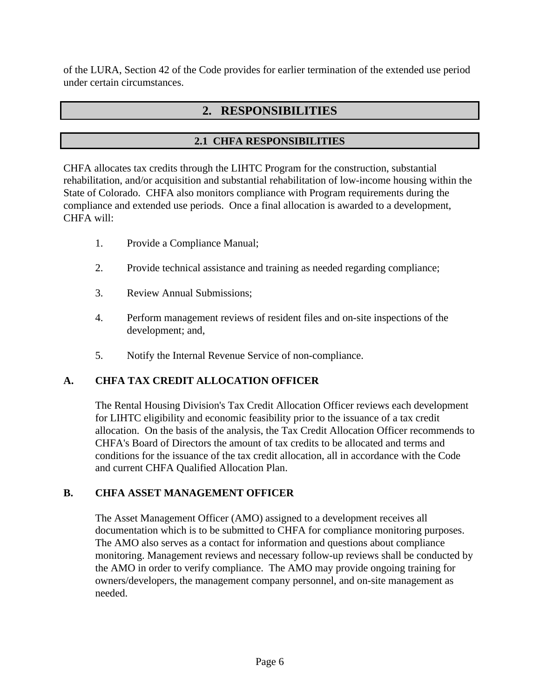of the LURA, Section 42 of the Code provides for earlier termination of the extended use period under certain circumstances.

# **2. RESPONSIBILITIES**

# **2.1 CHFA RESPONSIBILITIES**

CHFA allocates tax credits through the LIHTC Program for the construction, substantial rehabilitation, and/or acquisition and substantial rehabilitation of low-income housing within the State of Colorado. CHFA also monitors compliance with Program requirements during the compliance and extended use periods. Once a final allocation is awarded to a development, CHFA will:

- 1. Provide a Compliance Manual;
- 2. Provide technical assistance and training as needed regarding compliance;
- 3. Review Annual Submissions;
- 4. Perform management reviews of resident files and on-site inspections of the development; and,
- 5. Notify the Internal Revenue Service of non-compliance.

# **A. CHFA TAX CREDIT ALLOCATION OFFICER**

The Rental Housing Division's Tax Credit Allocation Officer reviews each development for LIHTC eligibility and economic feasibility prior to the issuance of a tax credit allocation. On the basis of the analysis, the Tax Credit Allocation Officer recommends to CHFA's Board of Directors the amount of tax credits to be allocated and terms and conditions for the issuance of the tax credit allocation, all in accordance with the Code and current CHFA Qualified Allocation Plan.

# **B. CHFA ASSET MANAGEMENT OFFICER**

The Asset Management Officer (AMO) assigned to a development receives all documentation which is to be submitted to CHFA for compliance monitoring purposes. The AMO also serves as a contact for information and questions about compliance monitoring. Management reviews and necessary follow-up reviews shall be conducted by the AMO in order to verify compliance. The AMO may provide ongoing training for owners/developers, the management company personnel, and on-site management as needed.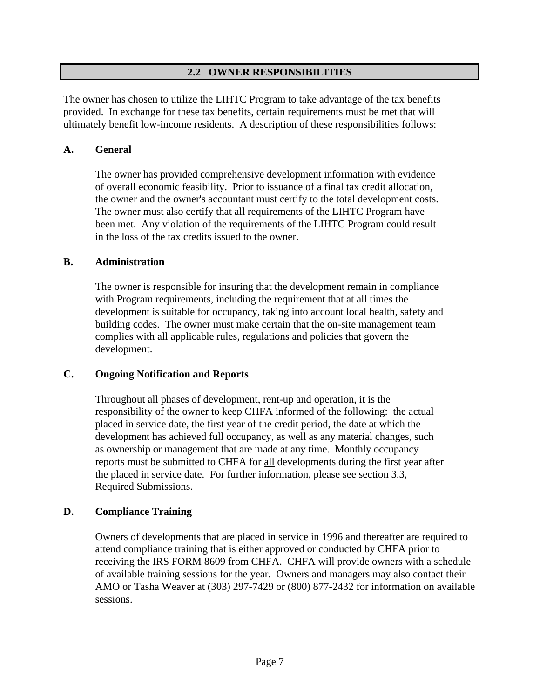### **2.2 OWNER RESPONSIBILITIES**

The owner has chosen to utilize the LIHTC Program to take advantage of the tax benefits provided. In exchange for these tax benefits, certain requirements must be met that will ultimately benefit low-income residents. A description of these responsibilities follows:

#### **A. General**

The owner has provided comprehensive development information with evidence of overall economic feasibility. Prior to issuance of a final tax credit allocation, the owner and the owner's accountant must certify to the total development costs. The owner must also certify that all requirements of the LIHTC Program have been met. Any violation of the requirements of the LIHTC Program could result in the loss of the tax credits issued to the owner.

#### **B. Administration**

The owner is responsible for insuring that the development remain in compliance with Program requirements, including the requirement that at all times the development is suitable for occupancy, taking into account local health, safety and building codes. The owner must make certain that the on-site management team complies with all applicable rules, regulations and policies that govern the development.

### **C. Ongoing Notification and Reports**

Throughout all phases of development, rent-up and operation, it is the responsibility of the owner to keep CHFA informed of the following: the actual placed in service date, the first year of the credit period, the date at which the development has achieved full occupancy, as well as any material changes, such as ownership or management that are made at any time. Monthly occupancy reports must be submitted to CHFA for all developments during the first year after the placed in service date. For further information, please see section 3.3, Required Submissions.

### **D. Compliance Training**

Owners of developments that are placed in service in 1996 and thereafter are required to attend compliance training that is either approved or conducted by CHFA prior to receiving the IRS FORM 8609 from CHFA. CHFA will provide owners with a schedule of available training sessions for the year. Owners and managers may also contact their AMO or Tasha Weaver at (303) 297-7429 or (800) 877-2432 for information on available sessions.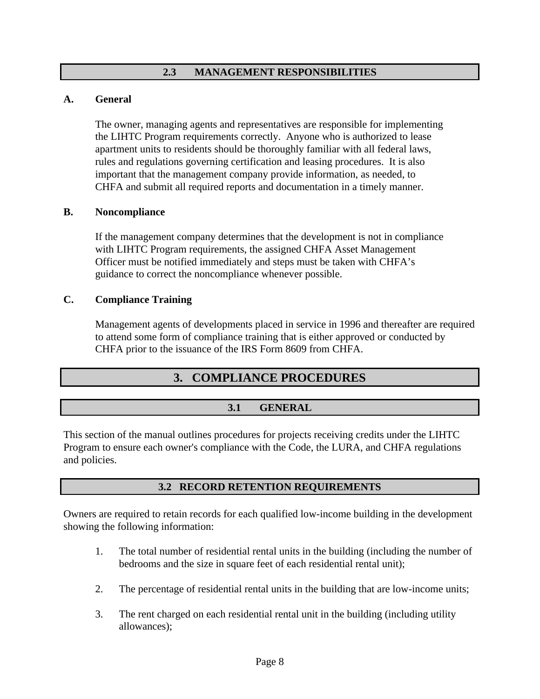### **2.3 MANAGEMENT RESPONSIBILITIES**

#### **A. General**

The owner, managing agents and representatives are responsible for implementing the LIHTC Program requirements correctly. Anyone who is authorized to lease apartment units to residents should be thoroughly familiar with all federal laws, rules and regulations governing certification and leasing procedures. It is also important that the management company provide information, as needed, to CHFA and submit all required reports and documentation in a timely manner.

#### **B. Noncompliance**

If the management company determines that the development is not in compliance with LIHTC Program requirements, the assigned CHFA Asset Management Officer must be notified immediately and steps must be taken with CHFA's guidance to correct the noncompliance whenever possible.

#### **C. Compliance Training**

Management agents of developments placed in service in 1996 and thereafter are required to attend some form of compliance training that is either approved or conducted by CHFA prior to the issuance of the IRS Form 8609 from CHFA.

# **3. COMPLIANCE PROCEDURES**

### **3.1 GENERAL**

This section of the manual outlines procedures for projects receiving credits under the LIHTC Program to ensure each owner's compliance with the Code, the LURA, and CHFA regulations and policies.

### **3.2 RECORD RETENTION REQUIREMENTS**

Owners are required to retain records for each qualified low-income building in the development showing the following information:

- 1. The total number of residential rental units in the building (including the number of bedrooms and the size in square feet of each residential rental unit);
- 2. The percentage of residential rental units in the building that are low-income units;
- 3. The rent charged on each residential rental unit in the building (including utility allowances);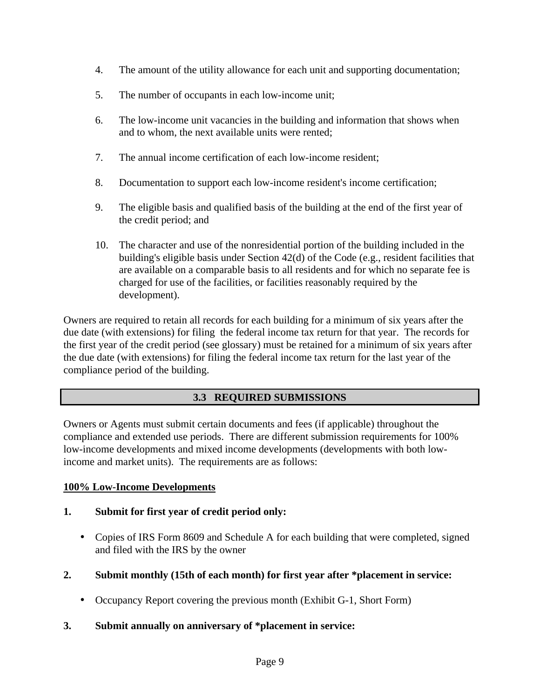- 4. The amount of the utility allowance for each unit and supporting documentation;
- 5. The number of occupants in each low-income unit;
- 6. The low-income unit vacancies in the building and information that shows when and to whom, the next available units were rented;
- 7. The annual income certification of each low-income resident;
- 8. Documentation to support each low-income resident's income certification;
- 9. The eligible basis and qualified basis of the building at the end of the first year of the credit period; and
- 10. The character and use of the nonresidential portion of the building included in the building's eligible basis under Section 42(d) of the Code (e.g., resident facilities that are available on a comparable basis to all residents and for which no separate fee is charged for use of the facilities, or facilities reasonably required by the development).

Owners are required to retain all records for each building for a minimum of six years after the due date (with extensions) for filing the federal income tax return for that year. The records for the first year of the credit period (see glossary) must be retained for a minimum of six years after the due date (with extensions) for filing the federal income tax return for the last year of the compliance period of the building.

# **3.3 REQUIRED SUBMISSIONS**

Owners or Agents must submit certain documents and fees (if applicable) throughout the compliance and extended use periods. There are different submission requirements for 100% low-income developments and mixed income developments (developments with both lowincome and market units). The requirements are as follows:

### **100% Low-Income Developments**

### **1. Submit for first year of credit period only:**

- Copies of IRS Form 8609 and Schedule A for each building that were completed, signed and filed with the IRS by the owner
- **2. Submit monthly (15th of each month) for first year after \*placement in service:**
	- Occupancy Report covering the previous month (Exhibit G-1, Short Form)
- **3. Submit annually on anniversary of \*placement in service:**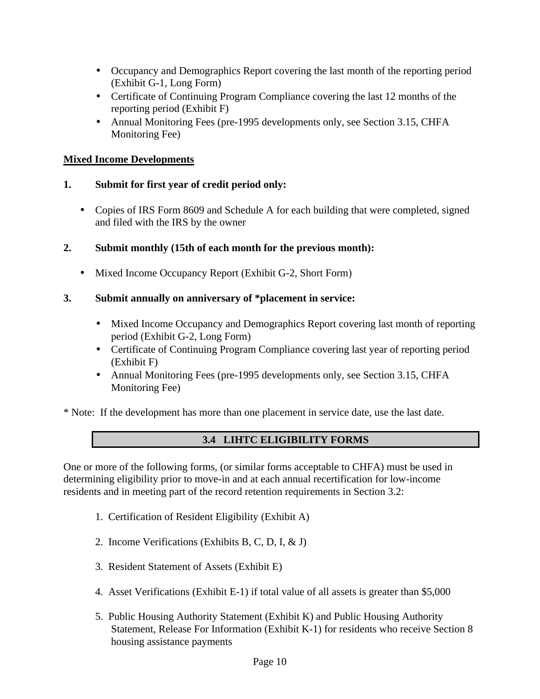- Occupancy and Demographics Report covering the last month of the reporting period (Exhibit G-1, Long Form)
- Certificate of Continuing Program Compliance covering the last 12 months of the reporting period (Exhibit F)
- Annual Monitoring Fees (pre-1995 developments only, see Section 3.15, CHFA Monitoring Fee)

### **Mixed Income Developments**

### **1. Submit for first year of credit period only:**

• Copies of IRS Form 8609 and Schedule A for each building that were completed, signed and filed with the IRS by the owner

### **2. Submit monthly (15th of each month for the previous month):**

• Mixed Income Occupancy Report (Exhibit G-2, Short Form)

### **3. Submit annually on anniversary of \*placement in service:**

- Mixed Income Occupancy and Demographics Report covering last month of reporting period (Exhibit G-2, Long Form)
- Certificate of Continuing Program Compliance covering last year of reporting period (Exhibit F)
- Annual Monitoring Fees (pre-1995 developments only, see Section 3.15, CHFA Monitoring Fee)

\* Note: If the development has more than one placement in service date, use the last date.

# **3.4 LIHTC ELIGIBILITY FORMS**

One or more of the following forms, (or similar forms acceptable to CHFA) must be used in determining eligibility prior to move-in and at each annual recertification for low-income residents and in meeting part of the record retention requirements in Section 3.2:

- 1. Certification of Resident Eligibility (Exhibit A)
- 2. Income Verifications (Exhibits B, C, D, I, & J)
- 3. Resident Statement of Assets (Exhibit E)
- 4. Asset Verifications (Exhibit E-1) if total value of all assets is greater than \$5,000
- 5. Public Housing Authority Statement (Exhibit K) and Public Housing Authority Statement, Release For Information (Exhibit K-1) for residents who receive Section 8 housing assistance payments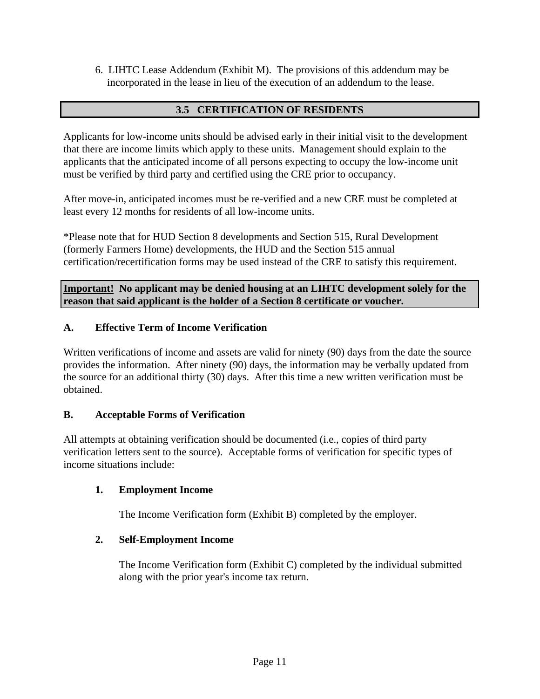6. LIHTC Lease Addendum (Exhibit M). The provisions of this addendum may be incorporated in the lease in lieu of the execution of an addendum to the lease.

## **3.5 CERTIFICATION OF RESIDENTS**

Applicants for low-income units should be advised early in their initial visit to the development that there are income limits which apply to these units. Management should explain to the applicants that the anticipated income of all persons expecting to occupy the low-income unit must be verified by third party and certified using the CRE prior to occupancy.

After move-in, anticipated incomes must be re-verified and a new CRE must be completed at least every 12 months for residents of all low-income units.

\*Please note that for HUD Section 8 developments and Section 515, Rural Development (formerly Farmers Home) developments, the HUD and the Section 515 annual certification/recertification forms may be used instead of the CRE to satisfy this requirement.

**Important! No applicant may be denied housing at an LIHTC development solely for the reason that said applicant is the holder of a Section 8 certificate or voucher.**

### **A. Effective Term of Income Verification**

Written verifications of income and assets are valid for ninety (90) days from the date the source provides the information. After ninety (90) days, the information may be verbally updated from the source for an additional thirty (30) days. After this time a new written verification must be obtained.

### **B. Acceptable Forms of Verification**

All attempts at obtaining verification should be documented (i.e., copies of third party verification letters sent to the source). Acceptable forms of verification for specific types of income situations include:

### **1. Employment Income**

The Income Verification form (Exhibit B) completed by the employer.

# **2. Self-Employment Income**

The Income Verification form (Exhibit C) completed by the individual submitted along with the prior year's income tax return.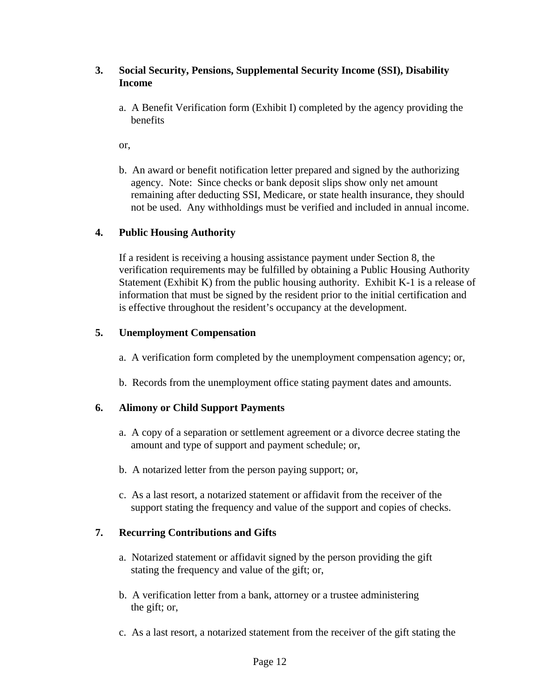### **3. Social Security, Pensions, Supplemental Security Income (SSI), Disability Income**

a. A Benefit Verification form (Exhibit I) completed by the agency providing the benefits

or,

b. An award or benefit notification letter prepared and signed by the authorizing agency. Note: Since checks or bank deposit slips show only net amount remaining after deducting SSI, Medicare, or state health insurance, they should not be used. Any withholdings must be verified and included in annual income.

### **4. Public Housing Authority**

If a resident is receiving a housing assistance payment under Section 8, the verification requirements may be fulfilled by obtaining a Public Housing Authority Statement (Exhibit K) from the public housing authority. Exhibit K-1 is a release of information that must be signed by the resident prior to the initial certification and is effective throughout the resident's occupancy at the development.

### **5. Unemployment Compensation**

- a. A verification form completed by the unemployment compensation agency; or,
- b. Records from the unemployment office stating payment dates and amounts.

### **6. Alimony or Child Support Payments**

- a. A copy of a separation or settlement agreement or a divorce decree stating the amount and type of support and payment schedule; or,
- b. A notarized letter from the person paying support; or,
- c. As a last resort, a notarized statement or affidavit from the receiver of the support stating the frequency and value of the support and copies of checks.

### **7. Recurring Contributions and Gifts**

- a. Notarized statement or affidavit signed by the person providing the gift stating the frequency and value of the gift; or,
- b. A verification letter from a bank, attorney or a trustee administering the gift; or,
- c. As a last resort, a notarized statement from the receiver of the gift stating the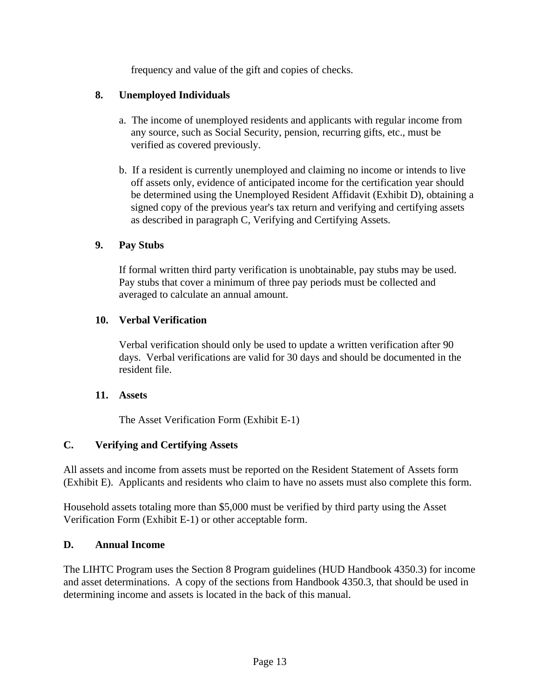frequency and value of the gift and copies of checks.

## **8. Unemployed Individuals**

- a. The income of unemployed residents and applicants with regular income from any source, such as Social Security, pension, recurring gifts, etc., must be verified as covered previously.
- b. If a resident is currently unemployed and claiming no income or intends to live off assets only, evidence of anticipated income for the certification year should be determined using the Unemployed Resident Affidavit (Exhibit D), obtaining a signed copy of the previous year's tax return and verifying and certifying assets as described in paragraph C, Verifying and Certifying Assets.

### **9. Pay Stubs**

If formal written third party verification is unobtainable, pay stubs may be used. Pay stubs that cover a minimum of three pay periods must be collected and averaged to calculate an annual amount.

### **10. Verbal Verification**

Verbal verification should only be used to update a written verification after 90 days. Verbal verifications are valid for 30 days and should be documented in the resident file.

### **11. Assets**

The Asset Verification Form (Exhibit E-1)

# **C. Verifying and Certifying Assets**

All assets and income from assets must be reported on the Resident Statement of Assets form (Exhibit E). Applicants and residents who claim to have no assets must also complete this form.

Household assets totaling more than \$5,000 must be verified by third party using the Asset Verification Form (Exhibit E-1) or other acceptable form.

### **D. Annual Income**

The LIHTC Program uses the Section 8 Program guidelines (HUD Handbook 4350.3) for income and asset determinations. A copy of the sections from Handbook 4350.3, that should be used in determining income and assets is located in the back of this manual.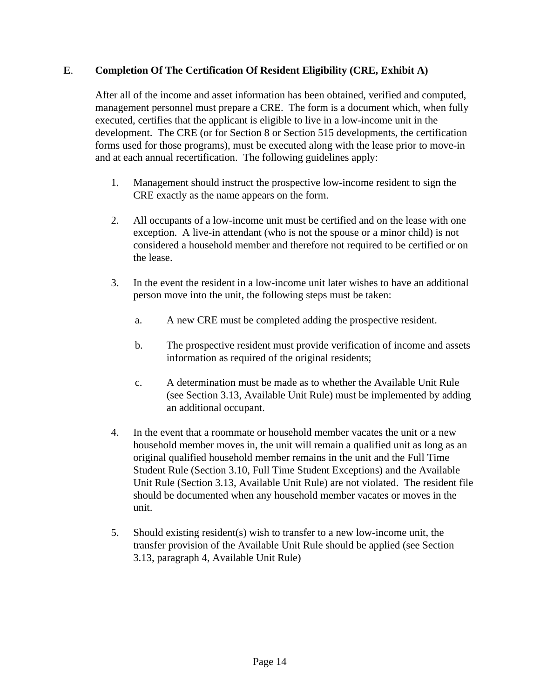### **E**. **Completion Of The Certification Of Resident Eligibility (CRE, Exhibit A)**

After all of the income and asset information has been obtained, verified and computed, management personnel must prepare a CRE. The form is a document which, when fully executed, certifies that the applicant is eligible to live in a low-income unit in the development. The CRE (or for Section 8 or Section 515 developments, the certification forms used for those programs), must be executed along with the lease prior to move-in and at each annual recertification. The following guidelines apply:

- 1. Management should instruct the prospective low-income resident to sign the CRE exactly as the name appears on the form.
- 2. All occupants of a low-income unit must be certified and on the lease with one exception. A live-in attendant (who is not the spouse or a minor child) is not considered a household member and therefore not required to be certified or on the lease.
- 3. In the event the resident in a low-income unit later wishes to have an additional person move into the unit, the following steps must be taken:
	- a. A new CRE must be completed adding the prospective resident.
	- b. The prospective resident must provide verification of income and assets information as required of the original residents;
	- c. A determination must be made as to whether the Available Unit Rule (see Section 3.13, Available Unit Rule) must be implemented by adding an additional occupant.
- 4. In the event that a roommate or household member vacates the unit or a new household member moves in, the unit will remain a qualified unit as long as an original qualified household member remains in the unit and the Full Time Student Rule (Section 3.10, Full Time Student Exceptions) and the Available Unit Rule (Section 3.13, Available Unit Rule) are not violated. The resident file should be documented when any household member vacates or moves in the unit.
- 5. Should existing resident(s) wish to transfer to a new low-income unit, the transfer provision of the Available Unit Rule should be applied (see Section 3.13, paragraph 4, Available Unit Rule)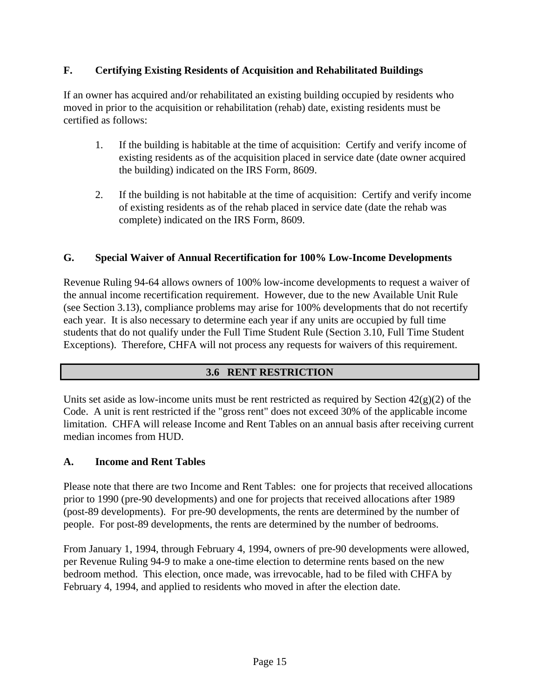## **F. Certifying Existing Residents of Acquisition and Rehabilitated Buildings**

If an owner has acquired and/or rehabilitated an existing building occupied by residents who moved in prior to the acquisition or rehabilitation (rehab) date, existing residents must be certified as follows:

- 1. If the building is habitable at the time of acquisition: Certify and verify income of existing residents as of the acquisition placed in service date (date owner acquired the building) indicated on the IRS Form, 8609.
- 2. If the building is not habitable at the time of acquisition: Certify and verify income of existing residents as of the rehab placed in service date (date the rehab was complete) indicated on the IRS Form, 8609.

### **G. Special Waiver of Annual Recertification for 100% Low-Income Developments**

Revenue Ruling 94-64 allows owners of 100% low-income developments to request a waiver of the annual income recertification requirement. However, due to the new Available Unit Rule (see Section 3.13), compliance problems may arise for 100% developments that do not recertify each year. It is also necessary to determine each year if any units are occupied by full time students that do not qualify under the Full Time Student Rule (Section 3.10, Full Time Student Exceptions). Therefore, CHFA will not process any requests for waivers of this requirement.

### **3.6 RENT RESTRICTION**

Units set aside as low-income units must be rent restricted as required by Section  $42(g)(2)$  of the Code. A unit is rent restricted if the "gross rent" does not exceed 30% of the applicable income limitation. CHFA will release Income and Rent Tables on an annual basis after receiving current median incomes from HUD.

### **A. Income and Rent Tables**

Please note that there are two Income and Rent Tables: one for projects that received allocations prior to 1990 (pre-90 developments) and one for projects that received allocations after 1989 (post-89 developments). For pre-90 developments, the rents are determined by the number of people. For post-89 developments, the rents are determined by the number of bedrooms.

From January 1, 1994, through February 4, 1994, owners of pre-90 developments were allowed, per Revenue Ruling 94-9 to make a one-time election to determine rents based on the new bedroom method. This election, once made, was irrevocable, had to be filed with CHFA by February 4, 1994, and applied to residents who moved in after the election date.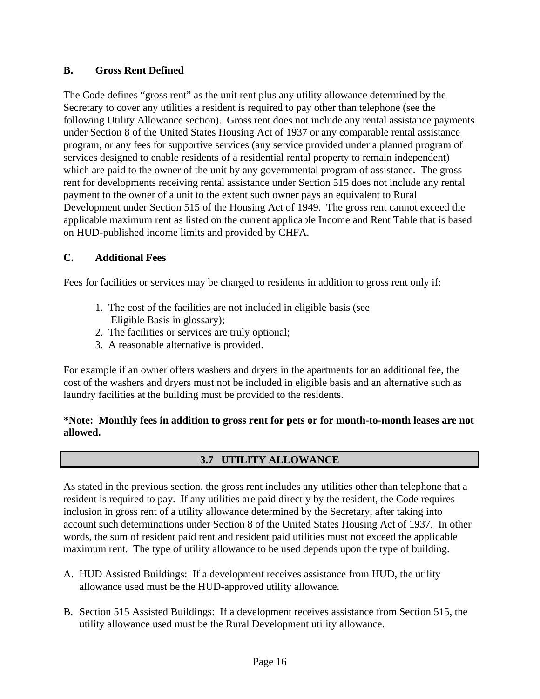### **B. Gross Rent Defined**

The Code defines "gross rent" as the unit rent plus any utility allowance determined by the Secretary to cover any utilities a resident is required to pay other than telephone (see the following Utility Allowance section). Gross rent does not include any rental assistance payments under Section 8 of the United States Housing Act of 1937 or any comparable rental assistance program, or any fees for supportive services (any service provided under a planned program of services designed to enable residents of a residential rental property to remain independent) which are paid to the owner of the unit by any governmental program of assistance. The gross rent for developments receiving rental assistance under Section 515 does not include any rental payment to the owner of a unit to the extent such owner pays an equivalent to Rural Development under Section 515 of the Housing Act of 1949. The gross rent cannot exceed the applicable maximum rent as listed on the current applicable Income and Rent Table that is based on HUD-published income limits and provided by CHFA.

### **C. Additional Fees**

Fees for facilities or services may be charged to residents in addition to gross rent only if:

- 1. The cost of the facilities are not included in eligible basis (see Eligible Basis in glossary);
- 2. The facilities or services are truly optional;
- 3. A reasonable alternative is provided.

For example if an owner offers washers and dryers in the apartments for an additional fee, the cost of the washers and dryers must not be included in eligible basis and an alternative such as laundry facilities at the building must be provided to the residents.

### **\*Note: Monthly fees in addition to gross rent for pets or for month-to-month leases are not allowed.**

# **3.7 UTILITY ALLOWANCE**

As stated in the previous section, the gross rent includes any utilities other than telephone that a resident is required to pay. If any utilities are paid directly by the resident, the Code requires inclusion in gross rent of a utility allowance determined by the Secretary, after taking into account such determinations under Section 8 of the United States Housing Act of 1937. In other words, the sum of resident paid rent and resident paid utilities must not exceed the applicable maximum rent. The type of utility allowance to be used depends upon the type of building.

- A. HUD Assisted Buildings: If a development receives assistance from HUD, the utility allowance used must be the HUD-approved utility allowance.
- B. Section 515 Assisted Buildings: If a development receives assistance from Section 515, the utility allowance used must be the Rural Development utility allowance.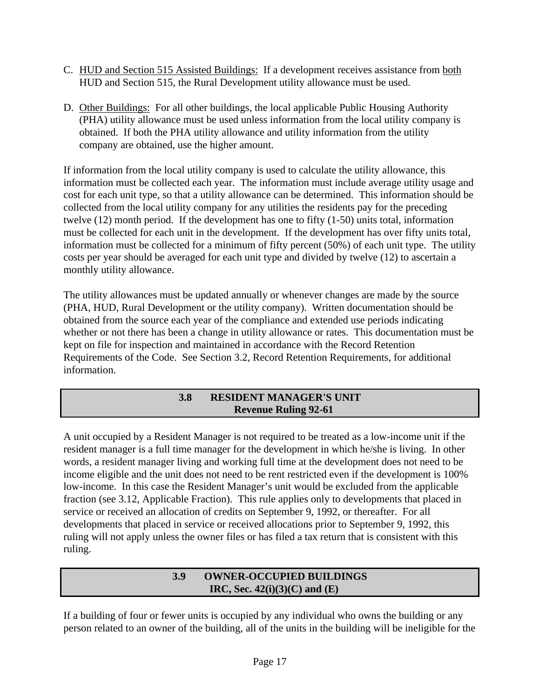- C. HUD and Section 515 Assisted Buildings: If a development receives assistance from both HUD and Section 515, the Rural Development utility allowance must be used.
- D. Other Buildings: For all other buildings, the local applicable Public Housing Authority (PHA) utility allowance must be used unless information from the local utility company is obtained. If both the PHA utility allowance and utility information from the utility company are obtained, use the higher amount.

If information from the local utility company is used to calculate the utility allowance, this information must be collected each year. The information must include average utility usage and cost for each unit type, so that a utility allowance can be determined. This information should be collected from the local utility company for any utilities the residents pay for the preceding twelve (12) month period. If the development has one to fifty (1-50) units total, information must be collected for each unit in the development. If the development has over fifty units total, information must be collected for a minimum of fifty percent (50%) of each unit type. The utility costs per year should be averaged for each unit type and divided by twelve (12) to ascertain a monthly utility allowance.

The utility allowances must be updated annually or whenever changes are made by the source (PHA, HUD, Rural Development or the utility company). Written documentation should be obtained from the source each year of the compliance and extended use periods indicating whether or not there has been a change in utility allowance or rates. This documentation must be kept on file for inspection and maintained in accordance with the Record Retention Requirements of the Code. See Section 3.2, Record Retention Requirements, for additional information.

# **3.8 RESIDENT MANAGER'S UNIT Revenue Ruling 92-61**

A unit occupied by a Resident Manager is not required to be treated as a low-income unit if the resident manager is a full time manager for the development in which he/she is living. In other words, a resident manager living and working full time at the development does not need to be income eligible and the unit does not need to be rent restricted even if the development is 100% low-income. In this case the Resident Manager's unit would be excluded from the applicable fraction (see 3.12, Applicable Fraction). This rule applies only to developments that placed in service or received an allocation of credits on September 9, 1992, or thereafter. For all developments that placed in service or received allocations prior to September 9, 1992, this ruling will not apply unless the owner files or has filed a tax return that is consistent with this ruling.

### **3.9 OWNER-OCCUPIED BUILDINGS IRC, Sec. 42(i)(3)(C) and (E)**

If a building of four or fewer units is occupied by any individual who owns the building or any person related to an owner of the building, all of the units in the building will be ineligible for the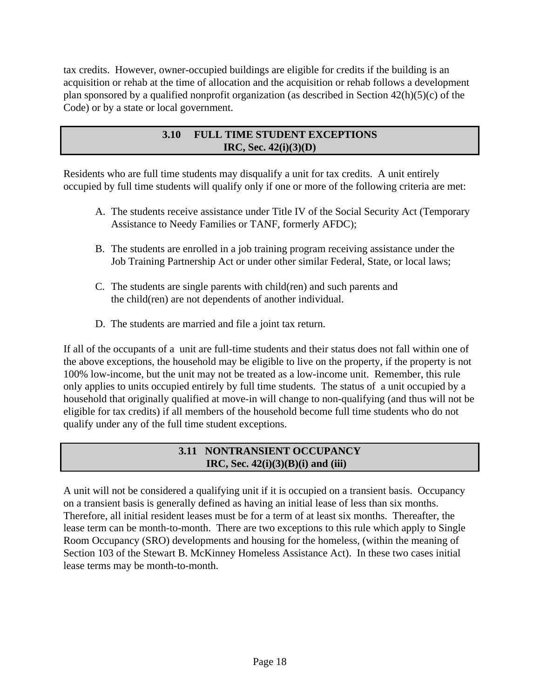tax credits. However, owner-occupied buildings are eligible for credits if the building is an acquisition or rehab at the time of allocation and the acquisition or rehab follows a development plan sponsored by a qualified nonprofit organization (as described in Section 42(h)(5)(c) of the Code) or by a state or local government.

## **3.10 FULL TIME STUDENT EXCEPTIONS IRC, Sec. 42(i)(3)(D)**

Residents who are full time students may disqualify a unit for tax credits. A unit entirely occupied by full time students will qualify only if one or more of the following criteria are met:

- A. The students receive assistance under Title IV of the Social Security Act (Temporary Assistance to Needy Families or TANF, formerly AFDC);
- B. The students are enrolled in a job training program receiving assistance under the Job Training Partnership Act or under other similar Federal, State, or local laws;
- C. The students are single parents with child(ren) and such parents and the child(ren) are not dependents of another individual.
- D. The students are married and file a joint tax return.

If all of the occupants of a unit are full-time students and their status does not fall within one of the above exceptions, the household may be eligible to live on the property, if the property is not 100% low-income, but the unit may not be treated as a low-income unit. Remember, this rule only applies to units occupied entirely by full time students. The status of a unit occupied by a household that originally qualified at move-in will change to non-qualifying (and thus will not be eligible for tax credits) if all members of the household become full time students who do not qualify under any of the full time student exceptions.

# **3.11 NONTRANSIENT OCCUPANCY IRC, Sec. 42(i)(3)(B)(i) and (iii)**

A unit will not be considered a qualifying unit if it is occupied on a transient basis. Occupancy on a transient basis is generally defined as having an initial lease of less than six months. Therefore, all initial resident leases must be for a term of at least six months. Thereafter, the lease term can be month-to-month. There are two exceptions to this rule which apply to Single Room Occupancy (SRO) developments and housing for the homeless, (within the meaning of Section 103 of the Stewart B. McKinney Homeless Assistance Act). In these two cases initial lease terms may be month-to-month.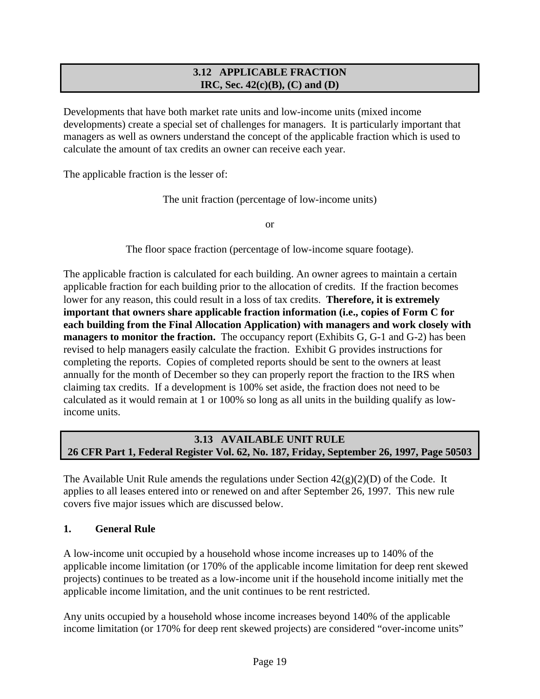### **3.12 APPLICABLE FRACTION IRC, Sec. 42(c)(B), (C) and (D)**

Developments that have both market rate units and low-income units (mixed income developments) create a special set of challenges for managers. It is particularly important that managers as well as owners understand the concept of the applicable fraction which is used to calculate the amount of tax credits an owner can receive each year.

The applicable fraction is the lesser of:

The unit fraction (percentage of low-income units)

or

The floor space fraction (percentage of low-income square footage).

The applicable fraction is calculated for each building. An owner agrees to maintain a certain applicable fraction for each building prior to the allocation of credits. If the fraction becomes lower for any reason, this could result in a loss of tax credits. **Therefore, it is extremely important that owners share applicable fraction information (i.e., copies of Form C for each building from the Final Allocation Application) with managers and work closely with managers to monitor the fraction.** The occupancy report (Exhibits G, G-1 and G-2) has been revised to help managers easily calculate the fraction. Exhibit G provides instructions for completing the reports. Copies of completed reports should be sent to the owners at least annually for the month of December so they can properly report the fraction to the IRS when claiming tax credits. If a development is 100% set aside, the fraction does not need to be calculated as it would remain at 1 or 100% so long as all units in the building qualify as lowincome units.

### **3.13 AVAILABLE UNIT RULE 26 CFR Part 1, Federal Register Vol. 62, No. 187, Friday, September 26, 1997, Page 50503**

The Available Unit Rule amends the regulations under Section  $42(g)(2)(D)$  of the Code. It applies to all leases entered into or renewed on and after September 26, 1997. This new rule covers five major issues which are discussed below.

### **1. General Rule**

A low-income unit occupied by a household whose income increases up to 140% of the applicable income limitation (or 170% of the applicable income limitation for deep rent skewed projects) continues to be treated as a low-income unit if the household income initially met the applicable income limitation, and the unit continues to be rent restricted.

Any units occupied by a household whose income increases beyond 140% of the applicable income limitation (or 170% for deep rent skewed projects) are considered "over-income units"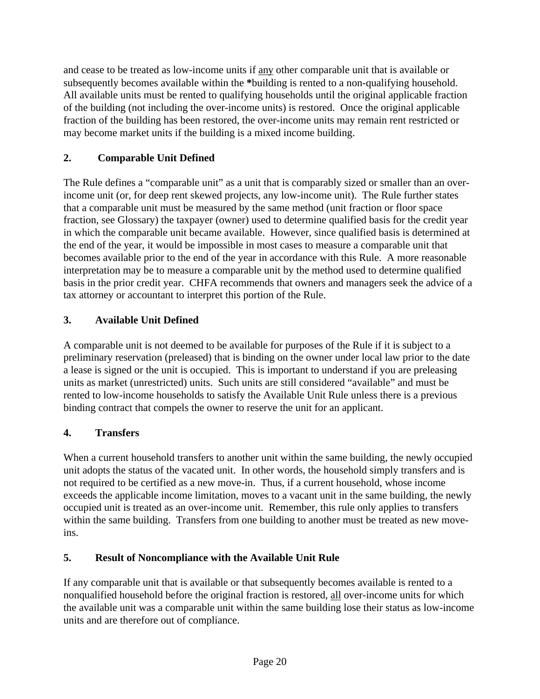and cease to be treated as low-income units if any other comparable unit that is available or subsequently becomes available within the **\***building is rented to a non-qualifying household. All available units must be rented to qualifying households until the original applicable fraction of the building (not including the over-income units) is restored. Once the original applicable fraction of the building has been restored, the over-income units may remain rent restricted or may become market units if the building is a mixed income building.

# **2. Comparable Unit Defined**

The Rule defines a "comparable unit" as a unit that is comparably sized or smaller than an overincome unit (or, for deep rent skewed projects, any low-income unit). The Rule further states that a comparable unit must be measured by the same method (unit fraction or floor space fraction, see Glossary) the taxpayer (owner) used to determine qualified basis for the credit year in which the comparable unit became available. However, since qualified basis is determined at the end of the year, it would be impossible in most cases to measure a comparable unit that becomes available prior to the end of the year in accordance with this Rule. A more reasonable interpretation may be to measure a comparable unit by the method used to determine qualified basis in the prior credit year. CHFA recommends that owners and managers seek the advice of a tax attorney or accountant to interpret this portion of the Rule.

# **3. Available Unit Defined**

A comparable unit is not deemed to be available for purposes of the Rule if it is subject to a preliminary reservation (preleased) that is binding on the owner under local law prior to the date a lease is signed or the unit is occupied. This is important to understand if you are preleasing units as market (unrestricted) units. Such units are still considered "available" and must be rented to low-income households to satisfy the Available Unit Rule unless there is a previous binding contract that compels the owner to reserve the unit for an applicant.

# **4. Transfers**

When a current household transfers to another unit within the same building, the newly occupied unit adopts the status of the vacated unit. In other words, the household simply transfers and is not required to be certified as a new move-in. Thus, if a current household, whose income exceeds the applicable income limitation, moves to a vacant unit in the same building, the newly occupied unit is treated as an over-income unit. Remember, this rule only applies to transfers within the same building. Transfers from one building to another must be treated as new moveins.

# **5. Result of Noncompliance with the Available Unit Rule**

If any comparable unit that is available or that subsequently becomes available is rented to a nonqualified household before the original fraction is restored, all over-income units for which the available unit was a comparable unit within the same building lose their status as low-income units and are therefore out of compliance.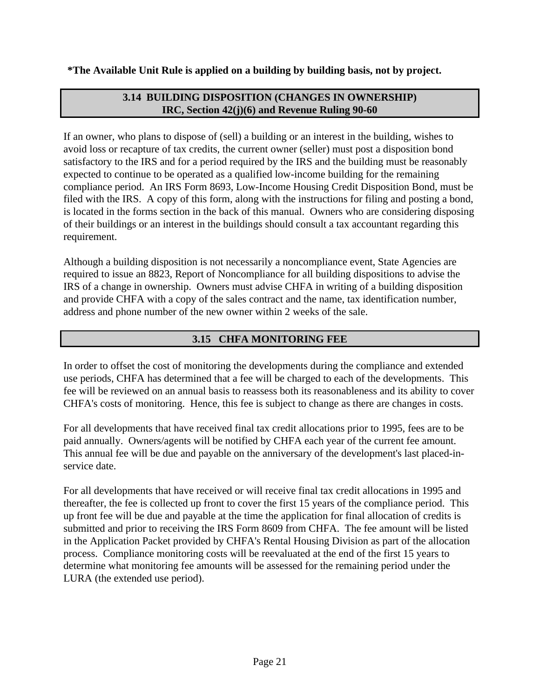### **\*The Available Unit Rule is applied on a building by building basis, not by project.**

## **3.14 BUILDING DISPOSITION (CHANGES IN OWNERSHIP) IRC, Section 42(j)(6) and Revenue Ruling 90-60**

If an owner, who plans to dispose of (sell) a building or an interest in the building, wishes to avoid loss or recapture of tax credits, the current owner (seller) must post a disposition bond satisfactory to the IRS and for a period required by the IRS and the building must be reasonably expected to continue to be operated as a qualified low-income building for the remaining compliance period. An IRS Form 8693, Low-Income Housing Credit Disposition Bond, must be filed with the IRS. A copy of this form, along with the instructions for filing and posting a bond, is located in the forms section in the back of this manual. Owners who are considering disposing of their buildings or an interest in the buildings should consult a tax accountant regarding this requirement.

Although a building disposition is not necessarily a noncompliance event, State Agencies are required to issue an 8823, Report of Noncompliance for all building dispositions to advise the IRS of a change in ownership. Owners must advise CHFA in writing of a building disposition and provide CHFA with a copy of the sales contract and the name, tax identification number, address and phone number of the new owner within 2 weeks of the sale.

# **3.15 CHFA MONITORING FEE**

In order to offset the cost of monitoring the developments during the compliance and extended use periods, CHFA has determined that a fee will be charged to each of the developments. This fee will be reviewed on an annual basis to reassess both its reasonableness and its ability to cover CHFA's costs of monitoring. Hence, this fee is subject to change as there are changes in costs.

For all developments that have received final tax credit allocations prior to 1995, fees are to be paid annually. Owners/agents will be notified by CHFA each year of the current fee amount. This annual fee will be due and payable on the anniversary of the development's last placed-inservice date.

For all developments that have received or will receive final tax credit allocations in 1995 and thereafter, the fee is collected up front to cover the first 15 years of the compliance period. This up front fee will be due and payable at the time the application for final allocation of credits is submitted and prior to receiving the IRS Form 8609 from CHFA. The fee amount will be listed in the Application Packet provided by CHFA's Rental Housing Division as part of the allocation process. Compliance monitoring costs will be reevaluated at the end of the first 15 years to determine what monitoring fee amounts will be assessed for the remaining period under the LURA (the extended use period).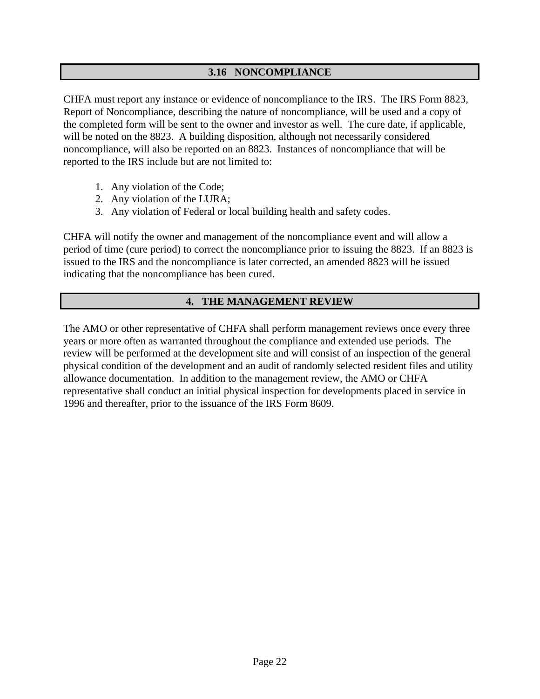### **3.16 NONCOMPLIANCE**

CHFA must report any instance or evidence of noncompliance to the IRS. The IRS Form 8823, Report of Noncompliance, describing the nature of noncompliance, will be used and a copy of the completed form will be sent to the owner and investor as well. The cure date, if applicable, will be noted on the 8823. A building disposition, although not necessarily considered noncompliance, will also be reported on an 8823. Instances of noncompliance that will be reported to the IRS include but are not limited to:

- 1. Any violation of the Code;
- 2. Any violation of the LURA;
- 3. Any violation of Federal or local building health and safety codes.

CHFA will notify the owner and management of the noncompliance event and will allow a period of time (cure period) to correct the noncompliance prior to issuing the 8823. If an 8823 is issued to the IRS and the noncompliance is later corrected, an amended 8823 will be issued indicating that the noncompliance has been cured.

### **4. THE MANAGEMENT REVIEW**

The AMO or other representative of CHFA shall perform management reviews once every three years or more often as warranted throughout the compliance and extended use periods. The review will be performed at the development site and will consist of an inspection of the general physical condition of the development and an audit of randomly selected resident files and utility allowance documentation. In addition to the management review, the AMO or CHFA representative shall conduct an initial physical inspection for developments placed in service in 1996 and thereafter, prior to the issuance of the IRS Form 8609.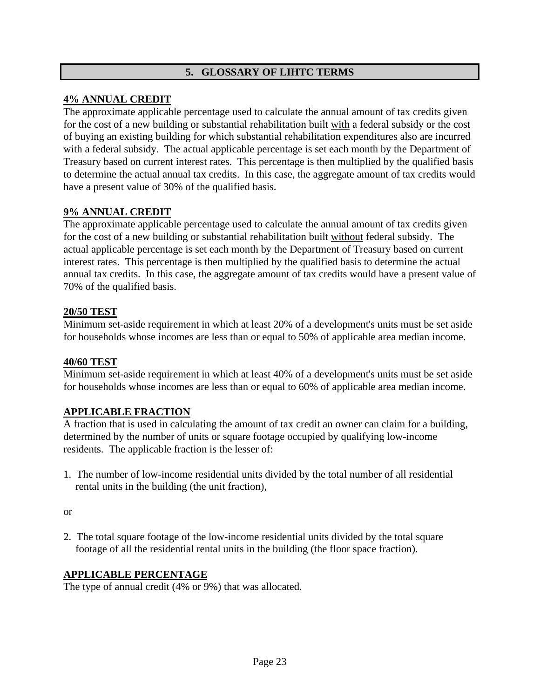## **5. GLOSSARY OF LIHTC TERMS**

#### **4% ANNUAL CREDIT**

The approximate applicable percentage used to calculate the annual amount of tax credits given for the cost of a new building or substantial rehabilitation built with a federal subsidy or the cost of buying an existing building for which substantial rehabilitation expenditures also are incurred with a federal subsidy. The actual applicable percentage is set each month by the Department of Treasury based on current interest rates. This percentage is then multiplied by the qualified basis to determine the actual annual tax credits. In this case, the aggregate amount of tax credits would have a present value of 30% of the qualified basis.

#### **9% ANNUAL CREDIT**

The approximate applicable percentage used to calculate the annual amount of tax credits given for the cost of a new building or substantial rehabilitation built without federal subsidy. The actual applicable percentage is set each month by the Department of Treasury based on current interest rates. This percentage is then multiplied by the qualified basis to determine the actual annual tax credits. In this case, the aggregate amount of tax credits would have a present value of 70% of the qualified basis.

#### **20/50 TEST**

Minimum set-aside requirement in which at least 20% of a development's units must be set aside for households whose incomes are less than or equal to 50% of applicable area median income.

#### **40/60 TEST**

Minimum set-aside requirement in which at least 40% of a development's units must be set aside for households whose incomes are less than or equal to 60% of applicable area median income.

#### **APPLICABLE FRACTION**

A fraction that is used in calculating the amount of tax credit an owner can claim for a building, determined by the number of units or square footage occupied by qualifying low-income residents. The applicable fraction is the lesser of:

1. The number of low-income residential units divided by the total number of all residential rental units in the building (the unit fraction),

or

2. The total square footage of the low-income residential units divided by the total square footage of all the residential rental units in the building (the floor space fraction).

#### **APPLICABLE PERCENTAGE**

The type of annual credit (4% or 9%) that was allocated.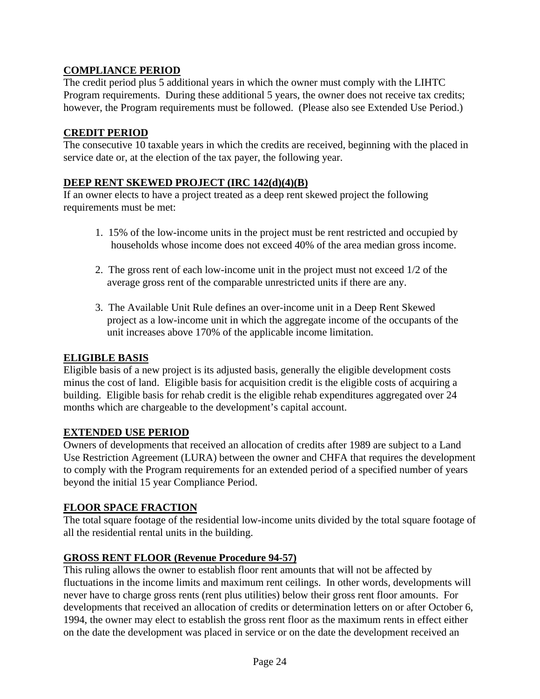# **COMPLIANCE PERIOD**

The credit period plus 5 additional years in which the owner must comply with the LIHTC Program requirements. During these additional 5 years, the owner does not receive tax credits; however, the Program requirements must be followed. (Please also see Extended Use Period.)

#### **CREDIT PERIOD**

The consecutive 10 taxable years in which the credits are received, beginning with the placed in service date or, at the election of the tax payer, the following year.

#### **DEEP RENT SKEWED PROJECT (IRC 142(d)(4)(B)**

If an owner elects to have a project treated as a deep rent skewed project the following requirements must be met:

- 1. 15% of the low-income units in the project must be rent restricted and occupied by households whose income does not exceed 40% of the area median gross income.
- 2. The gross rent of each low-income unit in the project must not exceed 1/2 of the average gross rent of the comparable unrestricted units if there are any.
- 3. The Available Unit Rule defines an over-income unit in a Deep Rent Skewed project as a low-income unit in which the aggregate income of the occupants of the unit increases above 170% of the applicable income limitation.

#### **ELIGIBLE BASIS**

Eligible basis of a new project is its adjusted basis, generally the eligible development costs minus the cost of land. Eligible basis for acquisition credit is the eligible costs of acquiring a building. Eligible basis for rehab credit is the eligible rehab expenditures aggregated over 24 months which are chargeable to the development's capital account.

### **EXTENDED USE PERIOD**

Owners of developments that received an allocation of credits after 1989 are subject to a Land Use Restriction Agreement (LURA) between the owner and CHFA that requires the development to comply with the Program requirements for an extended period of a specified number of years beyond the initial 15 year Compliance Period.

#### **FLOOR SPACE FRACTION**

The total square footage of the residential low-income units divided by the total square footage of all the residential rental units in the building.

### **GROSS RENT FLOOR (Revenue Procedure 94-57)**

This ruling allows the owner to establish floor rent amounts that will not be affected by fluctuations in the income limits and maximum rent ceilings. In other words, developments will never have to charge gross rents (rent plus utilities) below their gross rent floor amounts. For developments that received an allocation of credits or determination letters on or after October 6, 1994, the owner may elect to establish the gross rent floor as the maximum rents in effect either on the date the development was placed in service or on the date the development received an